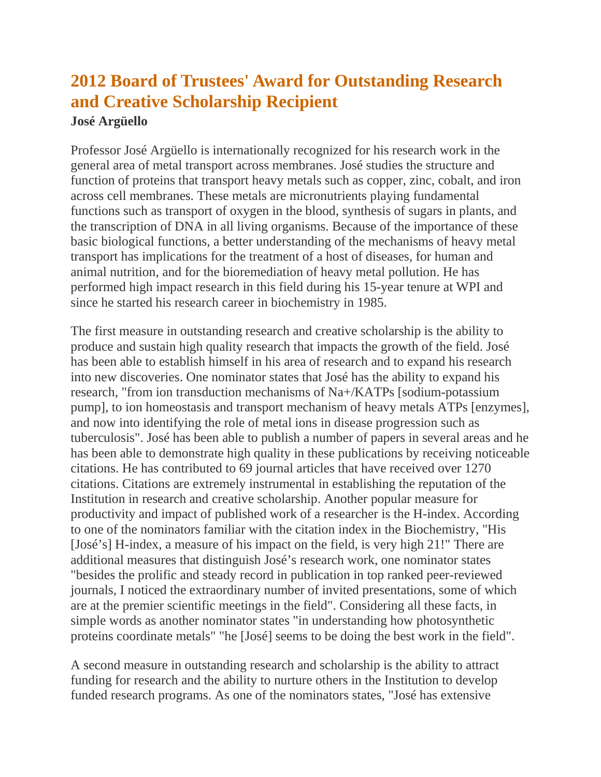## **2012 Board of Trustees' Award for Outstanding Research and Creative Scholarship Recipient**

## **José Argüello**

Professor José Argüello is internationally recognized for his research work in the general area of metal transport across membranes. José studies the structure and function of proteins that transport heavy metals such as copper, zinc, cobalt, and iron across cell membranes. These metals are micronutrients playing fundamental functions such as transport of oxygen in the blood, synthesis of sugars in plants, and the transcription of DNA in all living organisms. Because of the importance of these basic biological functions, a better understanding of the mechanisms of heavy metal transport has implications for the treatment of a host of diseases, for human and animal nutrition, and for the bioremediation of heavy metal pollution. He has performed high impact research in this field during his 15-year tenure at WPI and since he started his research career in biochemistry in 1985.

The first measure in outstanding research and creative scholarship is the ability to produce and sustain high quality research that impacts the growth of the field. José has been able to establish himself in his area of research and to expand his research into new discoveries. One nominator states that José has the ability to expand his research, "from ion transduction mechanisms of Na+/KATPs [sodium-potassium pump], to ion homeostasis and transport mechanism of heavy metals ATPs [enzymes], and now into identifying the role of metal ions in disease progression such as tuberculosis". José has been able to publish a number of papers in several areas and he has been able to demonstrate high quality in these publications by receiving noticeable citations. He has contributed to 69 journal articles that have received over 1270 citations. Citations are extremely instrumental in establishing the reputation of the Institution in research and creative scholarship. Another popular measure for productivity and impact of published work of a researcher is the H-index. According to one of the nominators familiar with the citation index in the Biochemistry, "His [José's] H-index, a measure of his impact on the field, is very high 21!" There are additional measures that distinguish José's research work, one nominator states "besides the prolific and steady record in publication in top ranked peer-reviewed journals, I noticed the extraordinary number of invited presentations, some of which are at the premier scientific meetings in the field". Considering all these facts, in simple words as another nominator states "in understanding how photosynthetic proteins coordinate metals" "he [José] seems to be doing the best work in the field".

A second measure in outstanding research and scholarship is the ability to attract funding for research and the ability to nurture others in the Institution to develop funded research programs. As one of the nominators states, "José has extensive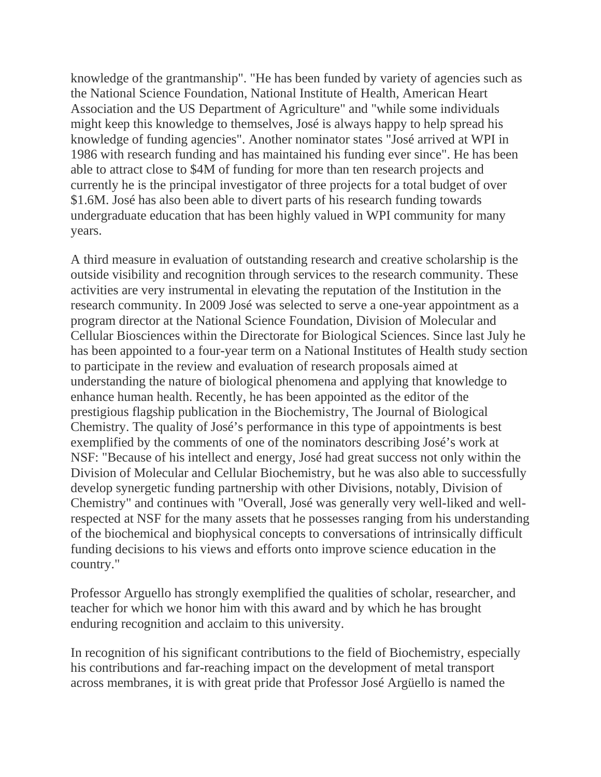knowledge of the grantmanship". "He has been funded by variety of agencies such as the National Science Foundation, National Institute of Health, American Heart Association and the US Department of Agriculture" and "while some individuals might keep this knowledge to themselves, José is always happy to help spread his knowledge of funding agencies". Another nominator states "José arrived at WPI in 1986 with research funding and has maintained his funding ever since". He has been able to attract close to \$4M of funding for more than ten research projects and currently he is the principal investigator of three projects for a total budget of over \$1.6M. José has also been able to divert parts of his research funding towards undergraduate education that has been highly valued in WPI community for many years.

A third measure in evaluation of outstanding research and creative scholarship is the outside visibility and recognition through services to the research community. These activities are very instrumental in elevating the reputation of the Institution in the research community. In 2009 José was selected to serve a one-year appointment as a program director at the National Science Foundation, Division of Molecular and Cellular Biosciences within the Directorate for Biological Sciences. Since last July he has been appointed to a four-year term on a National Institutes of Health study section to participate in the review and evaluation of research proposals aimed at understanding the nature of biological phenomena and applying that knowledge to enhance human health. Recently, he has been appointed as the editor of the prestigious flagship publication in the Biochemistry, The Journal of Biological Chemistry. The quality of José's performance in this type of appointments is best exemplified by the comments of one of the nominators describing José's work at NSF: "Because of his intellect and energy, José had great success not only within the Division of Molecular and Cellular Biochemistry, but he was also able to successfully develop synergetic funding partnership with other Divisions, notably, Division of Chemistry" and continues with "Overall, José was generally very well-liked and wellrespected at NSF for the many assets that he possesses ranging from his understanding of the biochemical and biophysical concepts to conversations of intrinsically difficult funding decisions to his views and efforts onto improve science education in the country."

Professor Arguello has strongly exemplified the qualities of scholar, researcher, and teacher for which we honor him with this award and by which he has brought enduring recognition and acclaim to this university.

In recognition of his significant contributions to the field of Biochemistry, especially his contributions and far-reaching impact on the development of metal transport across membranes, it is with great pride that Professor José Argüello is named the